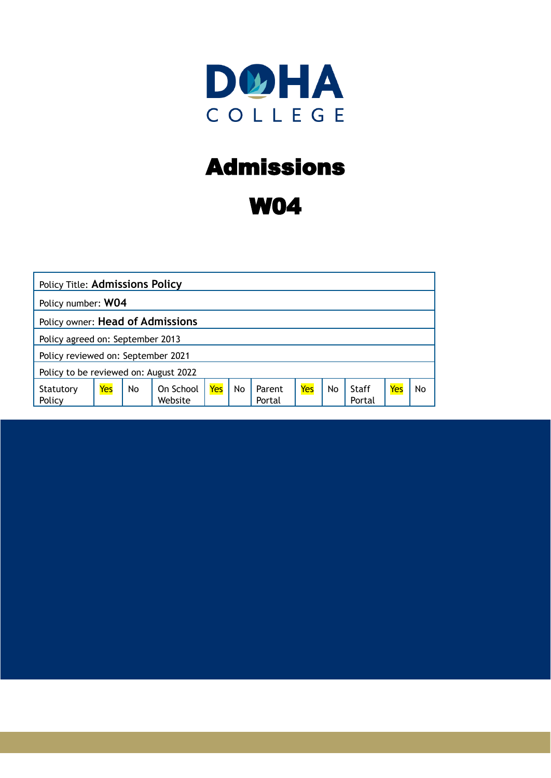

# Admissions

# W04

| <b>Policy Title: Admissions Policy</b> |     |    |                      |     |           |                  |     |    |                 |     |    |
|----------------------------------------|-----|----|----------------------|-----|-----------|------------------|-----|----|-----------------|-----|----|
| Policy number: W04                     |     |    |                      |     |           |                  |     |    |                 |     |    |
| Policy owner: Head of Admissions       |     |    |                      |     |           |                  |     |    |                 |     |    |
| Policy agreed on: September 2013       |     |    |                      |     |           |                  |     |    |                 |     |    |
| Policy reviewed on: September 2021     |     |    |                      |     |           |                  |     |    |                 |     |    |
| Policy to be reviewed on: August 2022  |     |    |                      |     |           |                  |     |    |                 |     |    |
| Statutory<br>Policy                    | Yes | No | On School<br>Website | Yes | <b>No</b> | Parent<br>Portal | Yes | No | Staff<br>Portal | Yes | No |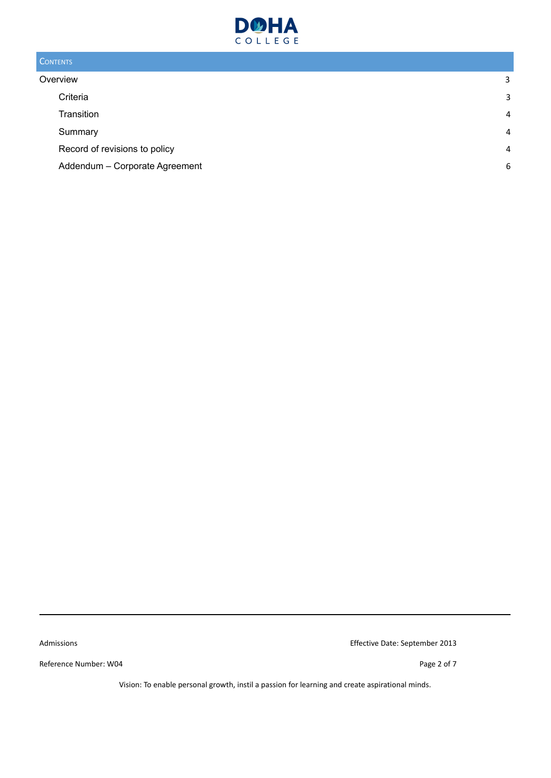

## **CONTENTS**

| Overview                       | 3 |
|--------------------------------|---|
| Criteria                       | 3 |
| Transition                     | 4 |
| Summary                        | 4 |
| Record of revisions to policy  | 4 |
| Addendum - Corporate Agreement | 6 |

Reference Number: W04 Page 2 of 7

Admissions Effective Date: September 2013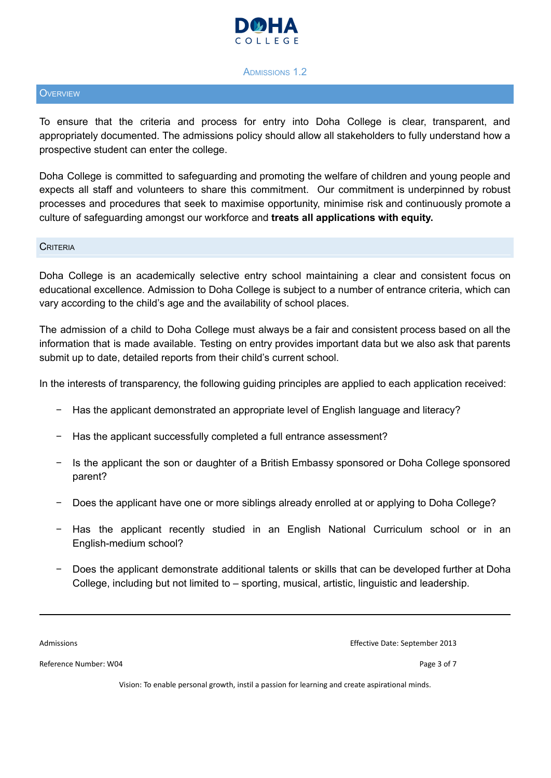

#### ADMISSIONS 1.2

#### <span id="page-2-0"></span>**OVERVIEW**

To ensure that the criteria and process for entry into Doha College is clear, transparent, and appropriately documented. The admissions policy should allow all stakeholders to fully understand how a prospective student can enter the college.

Doha College is committed to safeguarding and promoting the welfare of children and young people and expects all staff and volunteers to share this commitment. Our commitment is underpinned by robust processes and procedures that seek to maximise opportunity, minimise risk and continuously promote a culture of safeguarding amongst our workforce and **treats all applications with equity.**

#### <span id="page-2-1"></span>**CRITERIA**

Doha College is an academically selective entry school maintaining a clear and consistent focus on educational excellence. Admission to Doha College is subject to a number of entrance criteria, which can vary according to the child's age and the availability of school places.

The admission of a child to Doha College must always be a fair and consistent process based on all the information that is made available. Testing on entry provides important data but we also ask that parents submit up to date, detailed reports from their child's current school.

In the interests of transparency, the following guiding principles are applied to each application received:

- − Has the applicant demonstrated an appropriate level of English language and literacy?
- Has the applicant successfully completed a full entrance assessment?
- − Is the applicant the son or daughter of a British Embassy sponsored or Doha College sponsored parent?
- − Does the applicant have one or more siblings already enrolled at or applying to Doha College?
- − Has the applicant recently studied in an English National Curriculum school or in an English-medium school?
- Does the applicant demonstrate additional talents or skills that can be developed further at Doha College, including but not limited to – sporting, musical, artistic, linguistic and leadership.

Admissions Effective Date: September 2013

Reference Number: W04 Page 3 of 7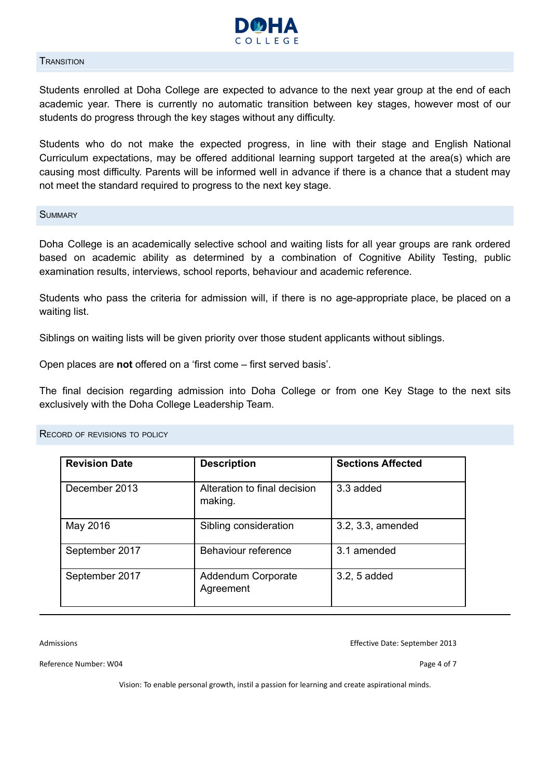

#### <span id="page-3-0"></span>**TRANSITION**

Students enrolled at Doha College are expected to advance to the next year group at the end of each academic year. There is currently no automatic transition between key stages, however most of our students do progress through the key stages without any difficulty.

Students who do not make the expected progress, in line with their stage and English National Curriculum expectations, may be offered additional learning support targeted at the area(s) which are causing most difficulty. Parents will be informed well in advance if there is a chance that a student may not meet the standard required to progress to the next key stage.

<span id="page-3-1"></span>**SUMMARY** 

Doha College is an academically selective school and waiting lists for all year groups are rank ordered based on academic ability as determined by a combination of Cognitive Ability Testing, public examination results, interviews, school reports, behaviour and academic reference.

Students who pass the criteria for admission will, if there is no age-appropriate place, be placed on a waiting list.

Siblings on waiting lists will be given priority over those student applicants without siblings.

Open places are **not** offered on a 'first come – first served basis'.

The final decision regarding admission into Doha College or from one Key Stage to the next sits exclusively with the Doha College Leadership Team.

<span id="page-3-2"></span>

| <b>RECORD OF REVISIONS TO POLICY</b> |  |
|--------------------------------------|--|
|--------------------------------------|--|

| <b>Revision Date</b> | <b>Description</b>                      | <b>Sections Affected</b> |  |
|----------------------|-----------------------------------------|--------------------------|--|
| December 2013        | Alteration to final decision<br>making. | 3.3 added                |  |
| May 2016             | Sibling consideration                   | 3.2, 3.3, amended        |  |
| September 2017       | Behaviour reference                     | 3.1 amended              |  |
| September 2017       | <b>Addendum Corporate</b><br>Agreement  | 3.2, 5 added             |  |

Admissions Effective Date: September 2013

Reference Number: W04 Page 4 of 7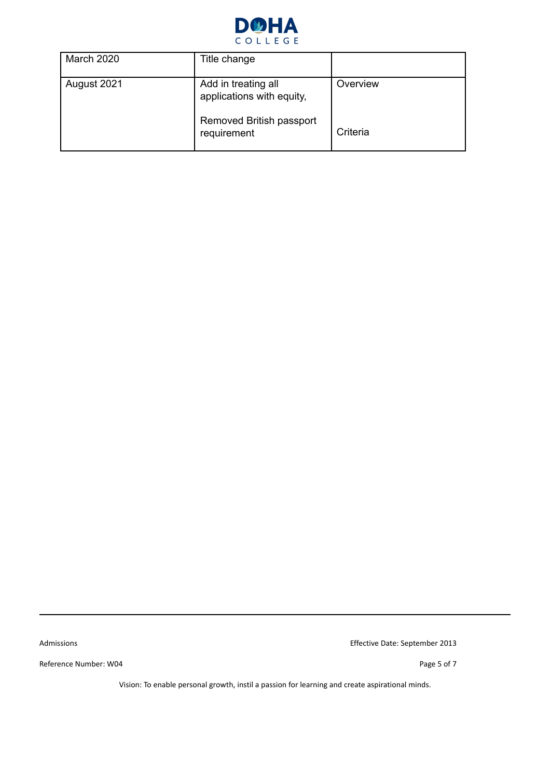

| March 2020  | Title change                                     |          |
|-------------|--------------------------------------------------|----------|
| August 2021 | Add in treating all<br>applications with equity, | Overview |
|             | Removed British passport<br>requirement          | Criteria |

Reference Number: W04 Page 5 of 7

Admissions Effective Date: September 2013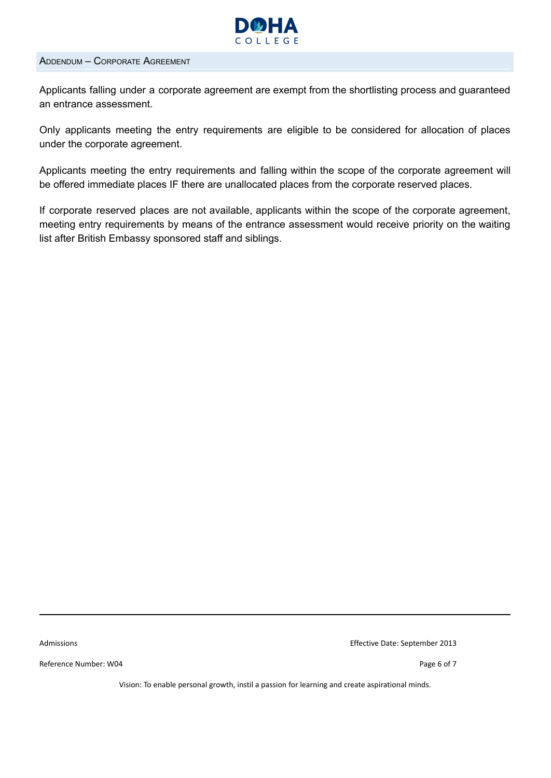

### <span id="page-5-0"></span>ADDENDUM – CORPORATE AGREEMENT

Applicants falling under a corporate agreement are exempt from the shortlisting process and guaranteed an entrance assessment.

Only applicants meeting the entry requirements are eligible to be considered for allocation of places under the corporate agreement.

Applicants meeting the entry requirements and falling within the scope of the corporate agreement will be offered immediate places IF there are unallocated places from the corporate reserved places.

If corporate reserved places are not available, applicants within the scope of the corporate agreement, meeting entry requirements by means of the entrance assessment would receive priority on the waiting list after British Embassy sponsored staff and siblings.

Reference Number: W04 Page 6 of 7

Admissions Effective Date: September 2013